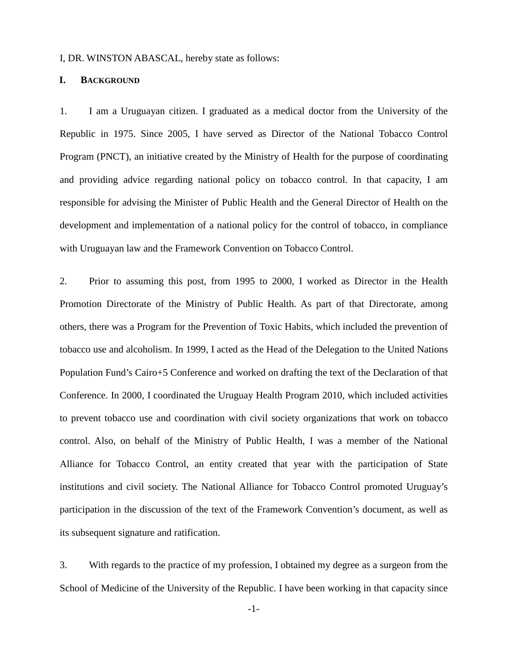#### I, DR. WINSTON ABASCAL, hereby state as follows:

# **I. BACKGROUND**

1. I am a Uruguayan citizen. I graduated as a medical doctor from the University of the Republic in 1975. Since 2005, I have served as Director of the National Tobacco Control Program (PNCT), an initiative created by the Ministry of Health for the purpose of coordinating and providing advice regarding national policy on tobacco control. In that capacity, I am responsible for advising the Minister of Public Health and the General Director of Health on the development and implementation of a national policy for the control of tobacco, in compliance with Uruguayan law and the Framework Convention on Tobacco Control.

2. Prior to assuming this post, from 1995 to 2000, I worked as Director in the Health Promotion Directorate of the Ministry of Public Health. As part of that Directorate, among others, there was a Program for the Prevention of Toxic Habits, which included the prevention of tobacco use and alcoholism. In 1999, I acted as the Head of the Delegation to the United Nations Population Fund's Cairo+5 Conference and worked on drafting the text of the Declaration of that Conference. In 2000, I coordinated the Uruguay Health Program 2010, which included activities to prevent tobacco use and coordination with civil society organizations that work on tobacco control. Also, on behalf of the Ministry of Public Health, I was a member of the National Alliance for Tobacco Control, an entity created that year with the participation of State institutions and civil society. The National Alliance for Tobacco Control promoted Uruguay's participation in the discussion of the text of the Framework Convention's document, as well as its subsequent signature and ratification.

3. With regards to the practice of my profession, I obtained my degree as a surgeon from the School of Medicine of the University of the Republic. I have been working in that capacity since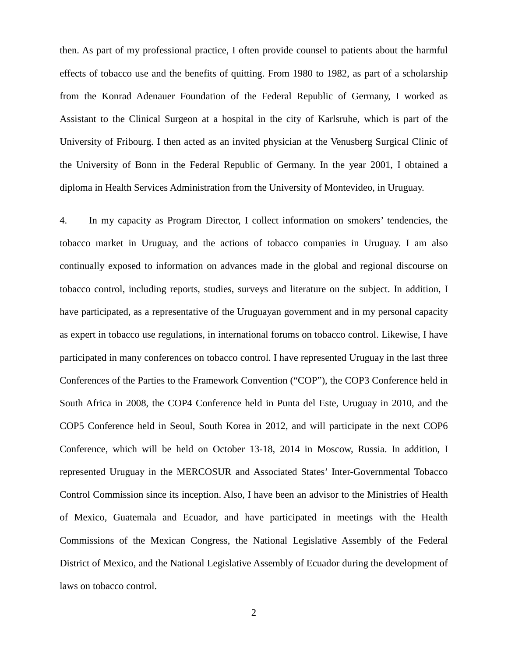then. As part of my professional practice, I often provide counsel to patients about the harmful effects of tobacco use and the benefits of quitting. From 1980 to 1982, as part of a scholarship from the Konrad Adenauer Foundation of the Federal Republic of Germany, I worked as Assistant to the Clinical Surgeon at a hospital in the city of Karlsruhe, which is part of the University of Fribourg. I then acted as an invited physician at the Venusberg Surgical Clinic of the University of Bonn in the Federal Republic of Germany. In the year 2001, I obtained a diploma in Health Services Administration from the University of Montevideo, in Uruguay.

4. In my capacity as Program Director, I collect information on smokers' tendencies, the tobacco market in Uruguay, and the actions of tobacco companies in Uruguay. I am also continually exposed to information on advances made in the global and regional discourse on tobacco control, including reports, studies, surveys and literature on the subject. In addition, I have participated, as a representative of the Uruguayan government and in my personal capacity as expert in tobacco use regulations, in international forums on tobacco control. Likewise, I have participated in many conferences on tobacco control. I have represented Uruguay in the last three Conferences of the Parties to the Framework Convention ("COP"), the COP3 Conference held in South Africa in 2008, the COP4 Conference held in Punta del Este, Uruguay in 2010, and the COP5 Conference held in Seoul, South Korea in 2012, and will participate in the next COP6 Conference, which will be held on October 13-18, 2014 in Moscow, Russia. In addition, I represented Uruguay in the MERCOSUR and Associated States' Inter-Governmental Tobacco Control Commission since its inception. Also, I have been an advisor to the Ministries of Health of Mexico, Guatemala and Ecuador, and have participated in meetings with the Health Commissions of the Mexican Congress, the National Legislative Assembly of the Federal District of Mexico, and the National Legislative Assembly of Ecuador during the development of laws on tobacco control.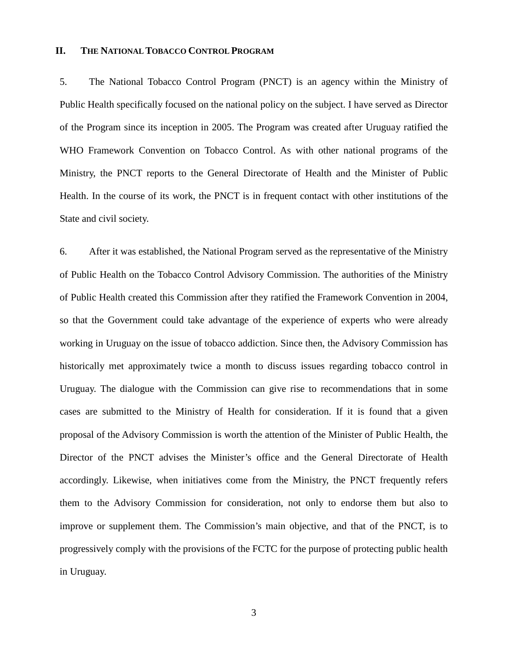## **II. THE NATIONAL TOBACCO CONTROL PROGRAM**

5. The National Tobacco Control Program (PNCT) is an agency within the Ministry of Public Health specifically focused on the national policy on the subject. I have served as Director of the Program since its inception in 2005. The Program was created after Uruguay ratified the WHO Framework Convention on Tobacco Control. As with other national programs of the Ministry, the PNCT reports to the General Directorate of Health and the Minister of Public Health. In the course of its work, the PNCT is in frequent contact with other institutions of the State and civil society.

6. After it was established, the National Program served as the representative of the Ministry of Public Health on the Tobacco Control Advisory Commission. The authorities of the Ministry of Public Health created this Commission after they ratified the Framework Convention in 2004, so that the Government could take advantage of the experience of experts who were already working in Uruguay on the issue of tobacco addiction. Since then, the Advisory Commission has historically met approximately twice a month to discuss issues regarding tobacco control in Uruguay. The dialogue with the Commission can give rise to recommendations that in some cases are submitted to the Ministry of Health for consideration. If it is found that a given proposal of the Advisory Commission is worth the attention of the Minister of Public Health, the Director of the PNCT advises the Minister's office and the General Directorate of Health accordingly. Likewise, when initiatives come from the Ministry, the PNCT frequently refers them to the Advisory Commission for consideration, not only to endorse them but also to improve or supplement them. The Commission's main objective, and that of the PNCT, is to progressively comply with the provisions of the FCTC for the purpose of protecting public health in Uruguay.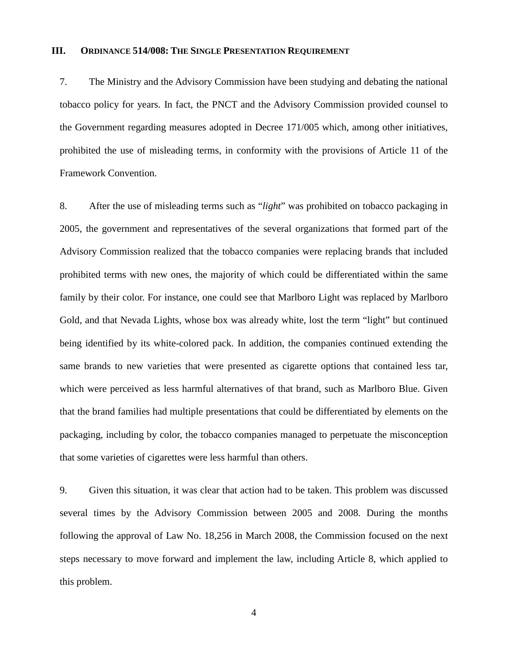#### **III. ORDINANCE 514/008: THE SINGLE PRESENTATION REQUIREMENT**

7. The Ministry and the Advisory Commission have been studying and debating the national tobacco policy for years. In fact, the PNCT and the Advisory Commission provided counsel to the Government regarding measures adopted in Decree 171/005 which, among other initiatives, prohibited the use of misleading terms, in conformity with the provisions of Article 11 of the Framework Convention.

8. After the use of misleading terms such as "*light*" was prohibited on tobacco packaging in 2005, the government and representatives of the several organizations that formed part of the Advisory Commission realized that the tobacco companies were replacing brands that included prohibited terms with new ones, the majority of which could be differentiated within the same family by their color. For instance, one could see that Marlboro Light was replaced by Marlboro Gold, and that Nevada Lights, whose box was already white, lost the term "light" but continued being identified by its white-colored pack. In addition, the companies continued extending the same brands to new varieties that were presented as cigarette options that contained less tar, which were perceived as less harmful alternatives of that brand, such as Marlboro Blue. Given that the brand families had multiple presentations that could be differentiated by elements on the packaging, including by color, the tobacco companies managed to perpetuate the misconception that some varieties of cigarettes were less harmful than others.

9. Given this situation, it was clear that action had to be taken. This problem was discussed several times by the Advisory Commission between 2005 and 2008. During the months following the approval of Law No. 18,256 in March 2008, the Commission focused on the next steps necessary to move forward and implement the law, including Article 8, which applied to this problem.

4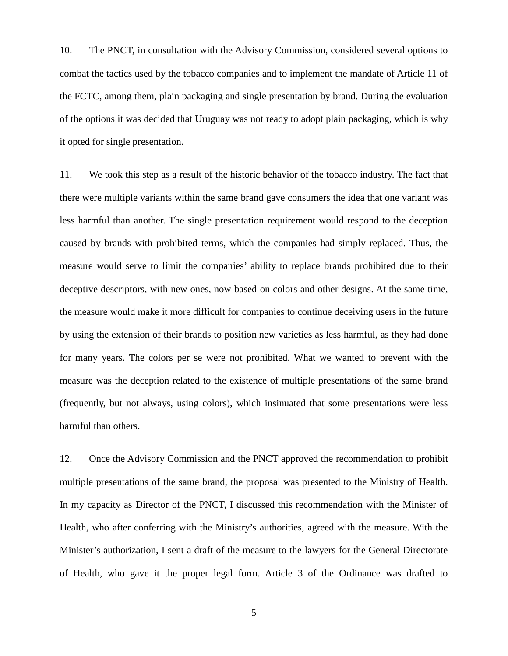10. The PNCT, in consultation with the Advisory Commission, considered several options to combat the tactics used by the tobacco companies and to implement the mandate of Article 11 of the FCTC, among them, plain packaging and single presentation by brand. During the evaluation of the options it was decided that Uruguay was not ready to adopt plain packaging, which is why it opted for single presentation.

11. We took this step as a result of the historic behavior of the tobacco industry. The fact that there were multiple variants within the same brand gave consumers the idea that one variant was less harmful than another. The single presentation requirement would respond to the deception caused by brands with prohibited terms, which the companies had simply replaced. Thus, the measure would serve to limit the companies' ability to replace brands prohibited due to their deceptive descriptors, with new ones, now based on colors and other designs. At the same time, the measure would make it more difficult for companies to continue deceiving users in the future by using the extension of their brands to position new varieties as less harmful, as they had done for many years. The colors per se were not prohibited. What we wanted to prevent with the measure was the deception related to the existence of multiple presentations of the same brand (frequently, but not always, using colors), which insinuated that some presentations were less harmful than others.

12. Once the Advisory Commission and the PNCT approved the recommendation to prohibit multiple presentations of the same brand, the proposal was presented to the Ministry of Health. In my capacity as Director of the PNCT, I discussed this recommendation with the Minister of Health, who after conferring with the Ministry's authorities, agreed with the measure. With the Minister's authorization, I sent a draft of the measure to the lawyers for the General Directorate of Health, who gave it the proper legal form. Article 3 of the Ordinance was drafted to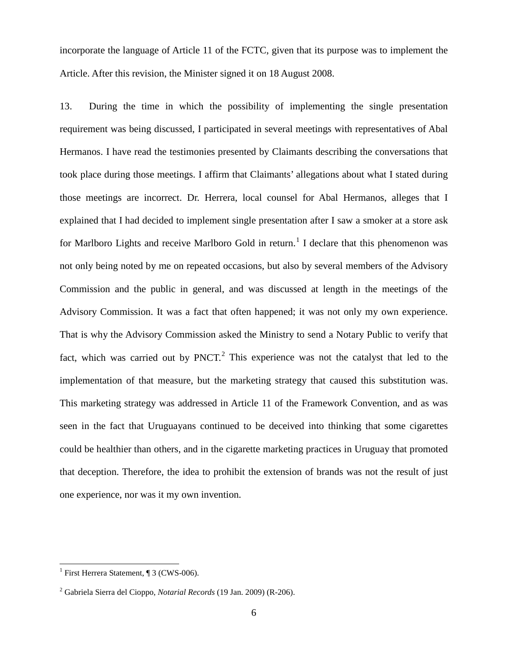incorporate the language of Article 11 of the FCTC, given that its purpose was to implement the Article. After this revision, the Minister signed it on 18 August 2008.

13. During the time in which the possibility of implementing the single presentation requirement was being discussed, I participated in several meetings with representatives of Abal Hermanos. I have read the testimonies presented by Claimants describing the conversations that took place during those meetings. I affirm that Claimants' allegations about what I stated during those meetings are incorrect. Dr. Herrera, local counsel for Abal Hermanos, alleges that I explained that I had decided to implement single presentation after I saw a smoker at a store ask for Marlboro Lights and receive Marlboro Gold in return.<sup>1</sup> I declare that this phenomenon was not only being noted by me on repeated occasions, but also by several members of the Advisory Commission and the public in general, and was discussed at length in the meetings of the Advisory Commission. It was a fact that often happened; it was not only my own experience. That is why the Advisory Commission asked the Ministry to send a Notary Public to verify that fact, which was carried out by  $PNCT<sup>2</sup>$ . This experience was not the catalyst that led to the implementation of that measure, but the marketing strategy that caused this substitution was. This marketing strategy was addressed in Article 11 of the Framework Convention, and as was seen in the fact that Uruguayans continued to be deceived into thinking that some cigarettes could be healthier than others, and in the cigarette marketing practices in Uruguay that promoted that deception. Therefore, the idea to prohibit the extension of brands was not the result of just one experience, nor was it my own invention.

 $\overline{a}$ 

<sup>&</sup>lt;sup>1</sup> First Herrera Statement,  $\P$  3 (CWS-006).

<sup>2</sup> Gabriela Sierra del Cioppo, *Notarial Records* (19 Jan. 2009) (R-206).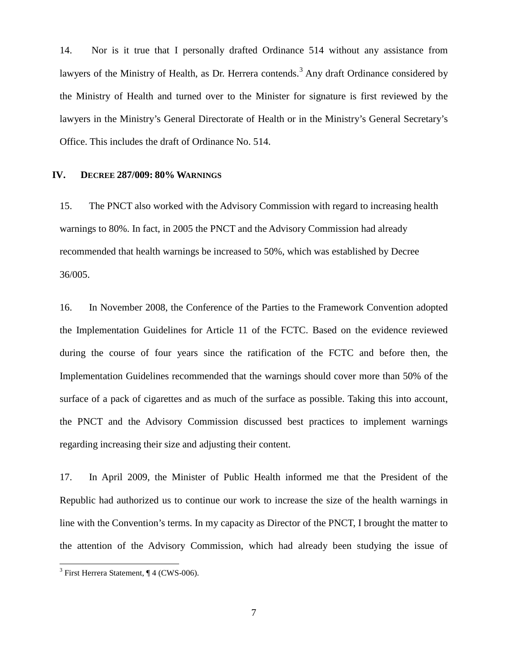14. Nor is it true that I personally drafted Ordinance 514 without any assistance from lawyers of the Ministry of Health, as Dr. Herrera contends.<sup>3</sup> Any draft Ordinance considered by the Ministry of Health and turned over to the Minister for signature is first reviewed by the lawyers in the Ministry's General Directorate of Health or in the Ministry's General Secretary's Office. This includes the draft of Ordinance No. 514.

## **IV. DECREE 287/009: 80% WARNINGS**

15. The PNCT also worked with the Advisory Commission with regard to increasing health warnings to 80%. In fact, in 2005 the PNCT and the Advisory Commission had already recommended that health warnings be increased to 50%, which was established by Decree 36/005.

16. In November 2008, the Conference of the Parties to the Framework Convention adopted the Implementation Guidelines for Article 11 of the FCTC. Based on the evidence reviewed during the course of four years since the ratification of the FCTC and before then, the Implementation Guidelines recommended that the warnings should cover more than 50% of the surface of a pack of cigarettes and as much of the surface as possible. Taking this into account, the PNCT and the Advisory Commission discussed best practices to implement warnings regarding increasing their size and adjusting their content.

17. In April 2009, the Minister of Public Health informed me that the President of the Republic had authorized us to continue our work to increase the size of the health warnings in line with the Convention's terms. In my capacity as Director of the PNCT, I brought the matter to the attention of the Advisory Commission, which had already been studying the issue of

 $\overline{a}$ 

 $3$  First Herrera Statement,  $\P$  4 (CWS-006).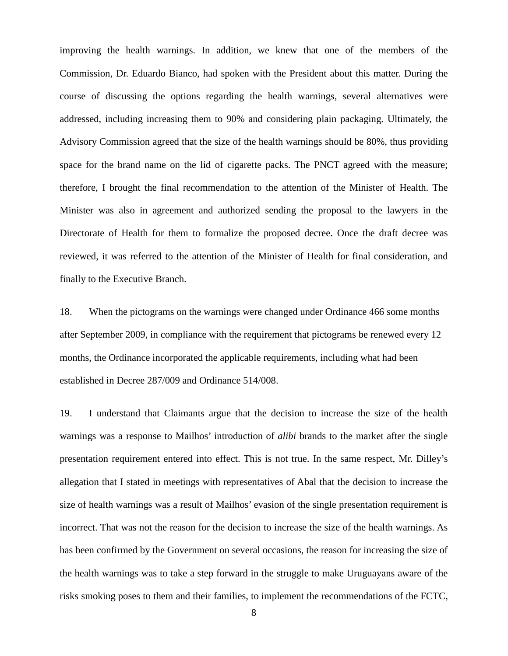improving the health warnings. In addition, we knew that one of the members of the Commission, Dr. Eduardo Bianco, had spoken with the President about this matter. During the course of discussing the options regarding the health warnings, several alternatives were addressed, including increasing them to 90% and considering plain packaging. Ultimately, the Advisory Commission agreed that the size of the health warnings should be 80%, thus providing space for the brand name on the lid of cigarette packs. The PNCT agreed with the measure; therefore, I brought the final recommendation to the attention of the Minister of Health. The Minister was also in agreement and authorized sending the proposal to the lawyers in the Directorate of Health for them to formalize the proposed decree. Once the draft decree was reviewed, it was referred to the attention of the Minister of Health for final consideration, and finally to the Executive Branch.

18. When the pictograms on the warnings were changed under Ordinance 466 some months after September 2009, in compliance with the requirement that pictograms be renewed every 12 months, the Ordinance incorporated the applicable requirements, including what had been established in Decree 287/009 and Ordinance 514/008.

19. I understand that Claimants argue that the decision to increase the size of the health warnings was a response to Mailhos' introduction of *alibi* brands to the market after the single presentation requirement entered into effect. This is not true. In the same respect, Mr. Dilley's allegation that I stated in meetings with representatives of Abal that the decision to increase the size of health warnings was a result of Mailhos' evasion of the single presentation requirement is incorrect. That was not the reason for the decision to increase the size of the health warnings. As has been confirmed by the Government on several occasions, the reason for increasing the size of the health warnings was to take a step forward in the struggle to make Uruguayans aware of the risks smoking poses to them and their families, to implement the recommendations of the FCTC,